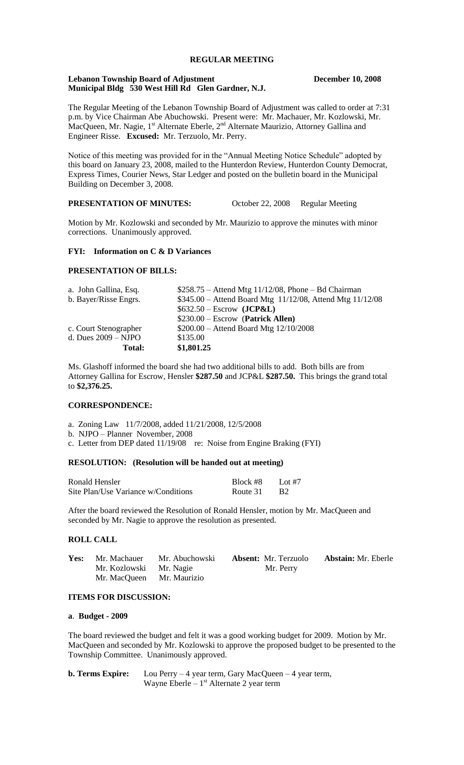# **REGULAR MEETING**

#### **Lebanon Township Board of Adjustment December 10, 2008 Municipal Bldg 530 West Hill Rd Glen Gardner, N.J.**

The Regular Meeting of the Lebanon Township Board of Adjustment was called to order at 7:31 p.m. by Vice Chairman Abe Abuchowski. Present were: Mr. Machauer, Mr. Kozlowski, Mr. MacQueen, Mr. Nagie,  $1^{st}$  Alternate Eberle,  $2^{nd}$  Alternate Maurizio, Attorney Gallina and Engineer Risse. **Excused:** Mr. Terzuolo, Mr. Perry.

Notice of this meeting was provided for in the "Annual Meeting Notice Schedule" adopted by this board on January 23, 2008, mailed to the Hunterdon Review, Hunterdon County Democrat, Express Times, Courier News, Star Ledger and posted on the bulletin board in the Municipal Building on December 3, 2008.

## **PRESENTATION OF MINUTES:** October 22, 2008 Regular Meeting

Motion by Mr. Kozlowski and seconded by Mr. Maurizio to approve the minutes with minor corrections. Unanimously approved.

#### **FYI: Information on C & D Variances**

## **PRESENTATION OF BILLS:**

| a. John Gallina, Esq. | $$258.75 -$ Attend Mtg $11/12/08$ , Phone - Bd Chairman   |
|-----------------------|-----------------------------------------------------------|
| b. Bayer/Risse Engrs. | \$345.00 - Attend Board Mtg 11/12/08, Attend Mtg 11/12/08 |
|                       | $$632.50 - Escrow$ (JCP&L)                                |
|                       | $$230.00 - Escrow$ (Patrick Allen)                        |
| c. Court Stenographer | $$200.00 -$ Attend Board Mtg $12/10/2008$                 |
| d. Dues $2009 - NJPO$ | \$135.00                                                  |
| Total:                | \$1,801.25                                                |

Ms. Glashoff informed the board she had two additional bills to add. Both bills are from Attorney Gallina for Escrow, Hensler **\$287.50** and JCP&L **\$287.50.** This brings the grand total to **\$2,376.25.**

## **CORRESPONDENCE:**

- a. Zoning Law 11/7/2008, added 11/21/2008, 12/5/2008
- b. NJPO Planner November, 2008
- c. Letter from DEP dated 11/19/08 re: Noise from Engine Braking (FYI)

#### **RESOLUTION: (Resolution will be handed out at meeting)**

| Ronald Hensler                      | Block #8 | Lot #7           |
|-------------------------------------|----------|------------------|
| Site Plan/Use Variance w/Conditions | Route 31 | - B <sub>2</sub> |

After the board reviewed the Resolution of Ronald Hensler, motion by Mr. MacQueen and seconded by Mr. Nagie to approve the resolution as presented.

## **ROLL CALL**

| <b>Yes:</b> Mr. Machauer  | Mr. Abuchowski | <b>Absent:</b> Mr. Terzuolo | <b>Abstain:</b> Mr. Eberle |
|---------------------------|----------------|-----------------------------|----------------------------|
| Mr. Kozlowski Mr. Nagie   |                | Mr. Perry                   |                            |
| Mr. MacQueen Mr. Maurizio |                |                             |                            |

## **ITEMS FOR DISCUSSION:**

#### **a**. **Budget - 2009**

The board reviewed the budget and felt it was a good working budget for 2009. Motion by Mr. MacQueen and seconded by Mr. Kozlowski to approve the proposed budget to be presented to the Township Committee. Unanimously approved.

| <b>b. Terms Expire:</b> | Lou Perry $-4$ year term, Gary MacQueen $-4$ year term, |
|-------------------------|---------------------------------------------------------|
|                         | Wayne Eberle $-1st$ Alternate 2 year term               |